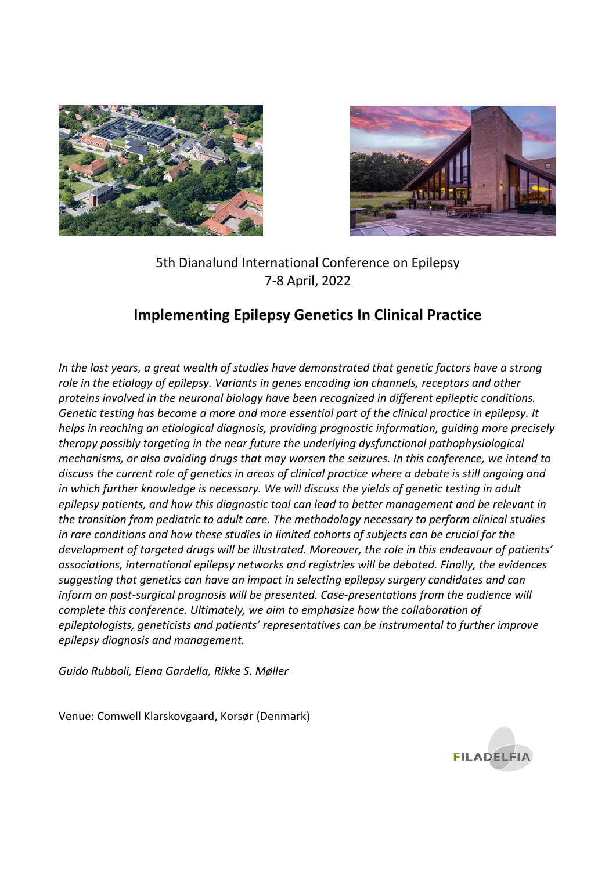



## 5th Dianalund International Conference on Epilepsy 7-8 April, 2022

# **Implementing Epilepsy Genetics In Clinical Practice**

*In the last years, a great wealth of studies have demonstrated that genetic factors have a strong role in the etiology of epilepsy. Variants in genes encoding ion channels, receptors and other proteins involved in the neuronal biology have been recognized in different epileptic conditions. Genetic testing has become a more and more essential part of the clinical practice in epilepsy. It helps in reaching an etiological diagnosis, providing prognostic information, guiding more precisely therapy possibly targeting in the near future the underlying dysfunctional pathophysiological mechanisms, or also avoiding drugs that may worsen the seizures. In this conference, we intend to discuss the current role of genetics in areas of clinical practice where a debate is still ongoing and*  in which further knowledge is necessary. We will discuss the yields of genetic testing in adult *epilepsy patients, and how this diagnostic tool can lead to better management and be relevant in the transition from pediatric to adult care. The methodology necessary to perform clinical studies in rare conditions and how these studies in limited cohorts of subjects can be crucial for the development of targeted drugs will be illustrated. Moreover, the role in this endeavour of patients' associations, international epilepsy networks and registries will be debated. Finally, the evidences suggesting that genetics can have an impact in selecting epilepsy surgery candidates and can inform on post-surgical prognosis will be presented. Case-presentations from the audience will complete this conference. Ultimately, we aim to emphasize how the collaboration of epileptologists, geneticists and patients' representatives can be instrumental to further improve epilepsy diagnosis and management.*

*Guido Rubboli, Elena Gardella, Rikke S. Møller*

Venue: Comwell Klarskovgaard, Korsør (Denmark)

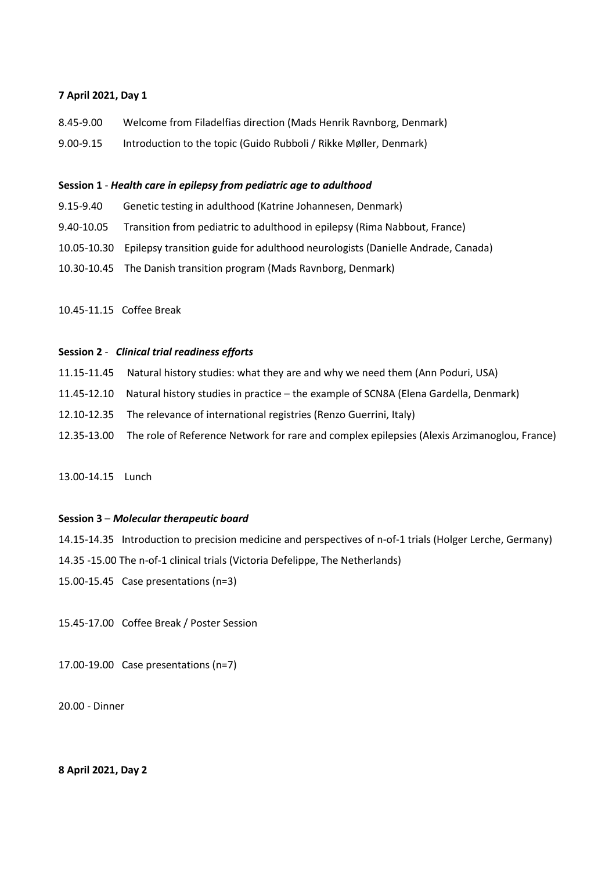#### **7 April 2021, Day 1**

- 8.45-9.00 Welcome from Filadelfias direction (Mads Henrik Ravnborg, Denmark)
- 9.00-9.15 Introduction to the topic (Guido Rubboli / Rikke Møller, Denmark)

#### **Session 1** - *Health care in epilepsy from pediatric age to adulthood*

- 9.15-9.40 Genetic testing in adulthood (Katrine Johannesen, Denmark)
- 9.40-10.05 Transition from pediatric to adulthood in epilepsy (Rima Nabbout, France)
- 10.05-10.30 Epilepsy transition guide for adulthood neurologists (Danielle Andrade, Canada)
- 10.30-10.45 The Danish transition program (Mads Ravnborg, Denmark)

10.45-11.15 Coffee Break

#### **Session 2** - *Clinical trial readiness efforts*

- 11.15-11.45 Natural history studies: what they are and why we need them (Ann Poduri, USA)
- 11.45-12.10 Natural history studies in practice the example of SCN8A (Elena Gardella, Denmark)
- 12.10-12.35 The relevance of international registries (Renzo Guerrini, Italy)
- 12.35-13.00 The role of Reference Network for rare and complex epilepsies (Alexis Arzimanoglou, France)

13.00-14.15 Lunch

#### **Session 3** – *Molecular therapeutic board*

- 14.15-14.35 Introduction to precision medicine and perspectives of n-of-1 trials (Holger Lerche, Germany)
- 14.35 -15.00 The n-of-1 clinical trials (Victoria Defelippe, The Netherlands)
- 15.00-15.45 Case presentations (n=3)

15.45-17.00 Coffee Break / Poster Session

17.00-19.00 Case presentations (n=7)

20.00 - Dinner

## **8 April 2021, Day 2**